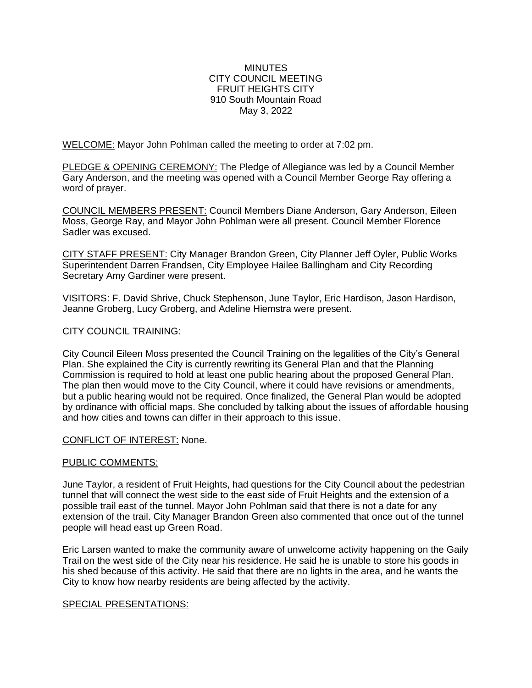### **MINUTES** CITY COUNCIL MEETING FRUIT HEIGHTS CITY 910 South Mountain Road May 3, 2022

WELCOME: Mayor John Pohlman called the meeting to order at 7:02 pm.

PLEDGE & OPENING CEREMONY: The Pledge of Allegiance was led by a Council Member Gary Anderson, and the meeting was opened with a Council Member George Ray offering a word of prayer.

COUNCIL MEMBERS PRESENT: Council Members Diane Anderson, Gary Anderson, Eileen Moss, George Ray, and Mayor John Pohlman were all present. Council Member Florence Sadler was excused.

CITY STAFF PRESENT: City Manager Brandon Green, City Planner Jeff Oyler, Public Works Superintendent Darren Frandsen, City Employee Hailee Ballingham and City Recording Secretary Amy Gardiner were present.

VISITORS: F. David Shrive, Chuck Stephenson, June Taylor, Eric Hardison, Jason Hardison, Jeanne Groberg, Lucy Groberg, and Adeline Hiemstra were present.

### CITY COUNCIL TRAINING:

City Council Eileen Moss presented the Council Training on the legalities of the City's General Plan. She explained the City is currently rewriting its General Plan and that the Planning Commission is required to hold at least one public hearing about the proposed General Plan. The plan then would move to the City Council, where it could have revisions or amendments, but a public hearing would not be required. Once finalized, the General Plan would be adopted by ordinance with official maps. She concluded by talking about the issues of affordable housing and how cities and towns can differ in their approach to this issue.

### CONFLICT OF INTEREST: None.

### PUBLIC COMMENTS:

June Taylor, a resident of Fruit Heights, had questions for the City Council about the pedestrian tunnel that will connect the west side to the east side of Fruit Heights and the extension of a possible trail east of the tunnel. Mayor John Pohlman said that there is not a date for any extension of the trail. City Manager Brandon Green also commented that once out of the tunnel people will head east up Green Road.

Eric Larsen wanted to make the community aware of unwelcome activity happening on the Gaily Trail on the west side of the City near his residence. He said he is unable to store his goods in his shed because of this activity. He said that there are no lights in the area, and he wants the City to know how nearby residents are being affected by the activity.

### SPECIAL PRESENTATIONS: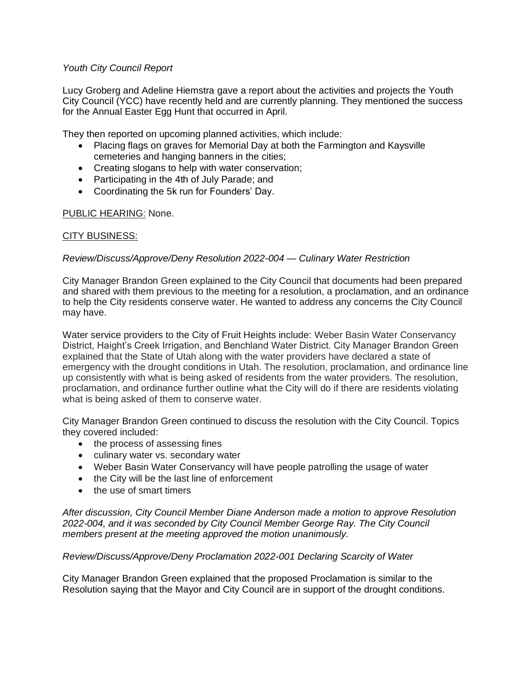## *Youth City Council Report*

Lucy Groberg and Adeline Hiemstra gave a report about the activities and projects the Youth City Council (YCC) have recently held and are currently planning. They mentioned the success for the Annual Easter Egg Hunt that occurred in April.

They then reported on upcoming planned activities, which include:

- Placing flags on graves for Memorial Day at both the Farmington and Kaysville cemeteries and hanging banners in the cities;
- Creating slogans to help with water conservation;
- Participating in the 4th of July Parade; and
- Coordinating the 5k run for Founders' Day.

## PUBLIC HEARING: None.

## CITY BUSINESS:

## *Review/Discuss/Approve/Deny Resolution 2022-004 — Culinary Water Restriction*

City Manager Brandon Green explained to the City Council that documents had been prepared and shared with them previous to the meeting for a resolution, a proclamation, and an ordinance to help the City residents conserve water. He wanted to address any concerns the City Council may have.

Water service providers to the City of Fruit Heights include: Weber Basin Water Conservancy District, Haight's Creek Irrigation, and Benchland Water District. City Manager Brandon Green explained that the State of Utah along with the water providers have declared a state of emergency with the drought conditions in Utah. The resolution, proclamation, and ordinance line up consistently with what is being asked of residents from the water providers. The resolution, proclamation, and ordinance further outline what the City will do if there are residents violating what is being asked of them to conserve water.

City Manager Brandon Green continued to discuss the resolution with the City Council. Topics they covered included:

- the process of assessing fines
- culinary water vs. secondary water
- Weber Basin Water Conservancy will have people patrolling the usage of water
- the City will be the last line of enforcement
- the use of smart timers

*After discussion, City Council Member Diane Anderson made a motion to approve Resolution 2022-004, and it was seconded by City Council Member George Ray. The City Council members present at the meeting approved the motion unanimously.* 

## *Review/Discuss/Approve/Deny Proclamation 2022-001 Declaring Scarcity of Water*

City Manager Brandon Green explained that the proposed Proclamation is similar to the Resolution saying that the Mayor and City Council are in support of the drought conditions.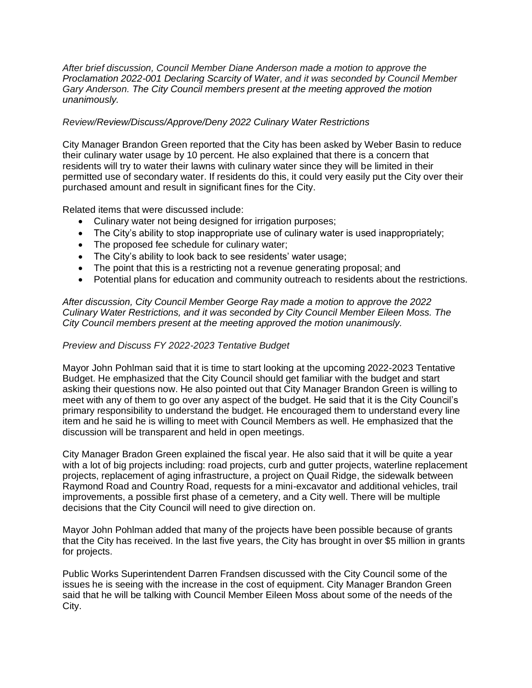*After brief discussion, Council Member Diane Anderson made a motion to approve the Proclamation 2022-001 Declaring Scarcity of Water, and it was seconded by Council Member Gary Anderson. The City Council members present at the meeting approved the motion unanimously.* 

## *Review/Review/Discuss/Approve/Deny 2022 Culinary Water Restrictions*

City Manager Brandon Green reported that the City has been asked by Weber Basin to reduce their culinary water usage by 10 percent. He also explained that there is a concern that residents will try to water their lawns with culinary water since they will be limited in their permitted use of secondary water. If residents do this, it could very easily put the City over their purchased amount and result in significant fines for the City.

Related items that were discussed include:

- Culinary water not being designed for irrigation purposes;
- The City's ability to stop inappropriate use of culinary water is used inappropriately;
- The proposed fee schedule for culinary water;
- The City's ability to look back to see residents' water usage;
- The point that this is a restricting not a revenue generating proposal; and
- Potential plans for education and community outreach to residents about the restrictions.

*After discussion, City Council Member George Ray made a motion to approve the 2022 Culinary Water Restrictions, and it was seconded by City Council Member Eileen Moss. The City Council members present at the meeting approved the motion unanimously.* 

## *Preview and Discuss FY 2022-2023 Tentative Budget*

Mayor John Pohlman said that it is time to start looking at the upcoming 2022-2023 Tentative Budget. He emphasized that the City Council should get familiar with the budget and start asking their questions now. He also pointed out that City Manager Brandon Green is willing to meet with any of them to go over any aspect of the budget. He said that it is the City Council's primary responsibility to understand the budget. He encouraged them to understand every line item and he said he is willing to meet with Council Members as well. He emphasized that the discussion will be transparent and held in open meetings.

City Manager Bradon Green explained the fiscal year. He also said that it will be quite a year with a lot of big projects including: road projects, curb and gutter projects, waterline replacement projects, replacement of aging infrastructure, a project on Quail Ridge, the sidewalk between Raymond Road and Country Road, requests for a mini-excavator and additional vehicles, trail improvements, a possible first phase of a cemetery, and a City well. There will be multiple decisions that the City Council will need to give direction on.

Mayor John Pohlman added that many of the projects have been possible because of grants that the City has received. In the last five years, the City has brought in over \$5 million in grants for projects.

Public Works Superintendent Darren Frandsen discussed with the City Council some of the issues he is seeing with the increase in the cost of equipment. City Manager Brandon Green said that he will be talking with Council Member Eileen Moss about some of the needs of the City.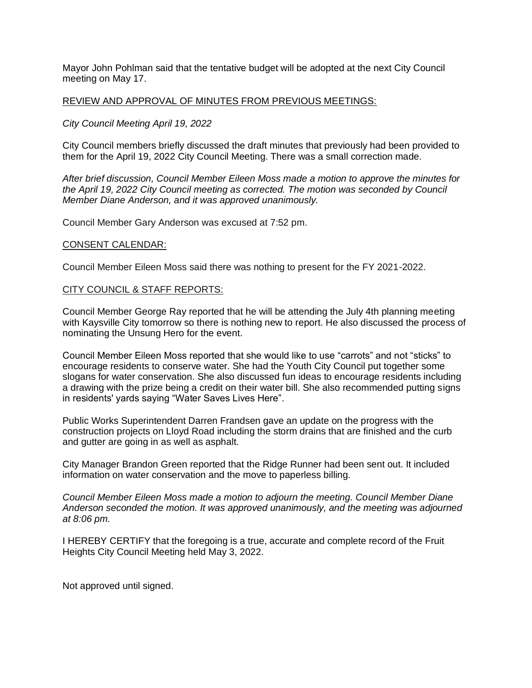Mayor John Pohlman said that the tentative budget will be adopted at the next City Council meeting on May 17.

### REVIEW AND APPROVAL OF MINUTES FROM PREVIOUS MEETINGS:

## *City Council Meeting April 19, 2022*

City Council members briefly discussed the draft minutes that previously had been provided to them for the April 19, 2022 City Council Meeting. There was a small correction made.

*After brief discussion, Council Member Eileen Moss made a motion to approve the minutes for the April 19, 2022 City Council meeting as corrected. The motion was seconded by Council Member Diane Anderson, and it was approved unanimously.*

Council Member Gary Anderson was excused at 7:52 pm.

#### CONSENT CALENDAR:

Council Member Eileen Moss said there was nothing to present for the FY 2021-2022.

### CITY COUNCIL & STAFF REPORTS:

Council Member George Ray reported that he will be attending the July 4th planning meeting with Kaysville City tomorrow so there is nothing new to report. He also discussed the process of nominating the Unsung Hero for the event.

Council Member Eileen Moss reported that she would like to use "carrots" and not "sticks" to encourage residents to conserve water. She had the Youth City Council put together some slogans for water conservation. She also discussed fun ideas to encourage residents including a drawing with the prize being a credit on their water bill. She also recommended putting signs in residents' yards saying "Water Saves Lives Here".

Public Works Superintendent Darren Frandsen gave an update on the progress with the construction projects on Lloyd Road including the storm drains that are finished and the curb and gutter are going in as well as asphalt.

City Manager Brandon Green reported that the Ridge Runner had been sent out. It included information on water conservation and the move to paperless billing.

*Council Member Eileen Moss made a motion to adjourn the meeting. Council Member Diane Anderson seconded the motion. It was approved unanimously, and the meeting was adjourned at 8:06 pm.*

I HEREBY CERTIFY that the foregoing is a true, accurate and complete record of the Fruit Heights City Council Meeting held May 3, 2022.

Not approved until signed.